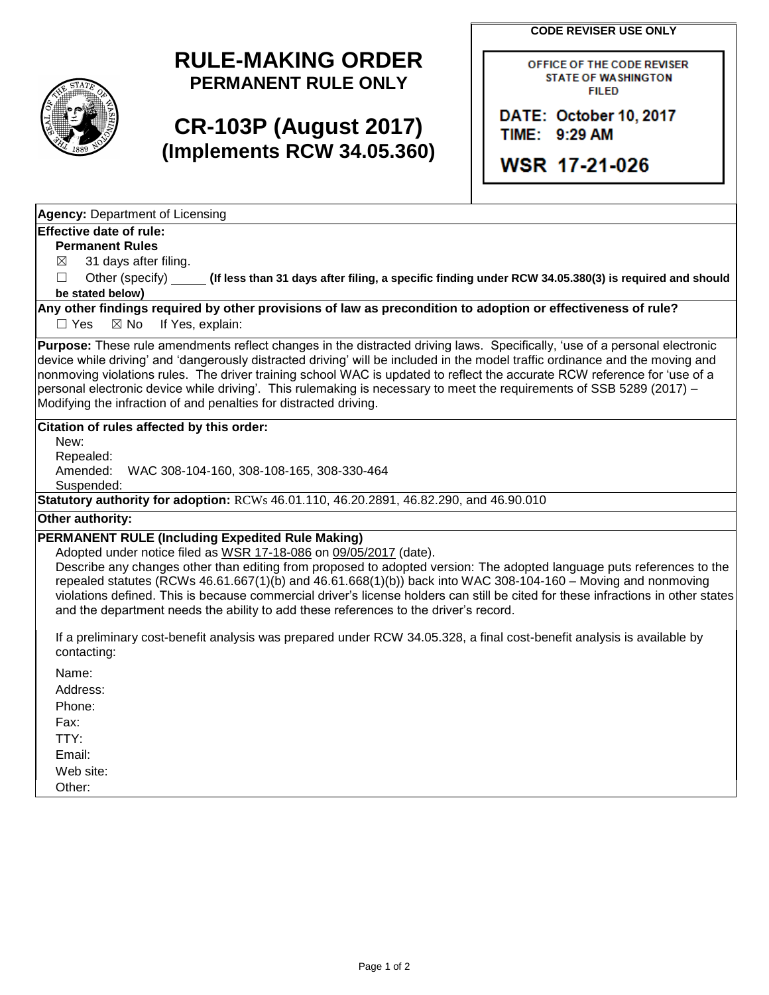**CODE REVISER USE ONLY**

## **RULE-MAKING ORDER PERMANENT RULE ONLY**

# **CR-103P (August 2017) (Implements RCW 34.05.360)**

OFFICE OF THE CODE REVISER **STATE OF WASHINGTON FILED** 

DATE: October 10, 2017 TIME: 9:29 AM

WSR 17-21-026

**Agency:** Department of Licensing

#### **Effective date of rule:**

**Permanent Rules**

 $\boxtimes$  31 days after filing.

☐ Other (specify) **(If less than 31 days after filing, a specific finding under RCW 34.05.380(3) is required and should be stated below)**

**Any other findings required by other provisions of law as precondition to adoption or effectiveness of rule?**

□ Yes ⊠ No If Yes, explain:

**Purpose:** These rule amendments reflect changes in the distracted driving laws. Specifically, 'use of a personal electronic device while driving' and 'dangerously distracted driving' will be included in the model traffic ordinance and the moving and nonmoving violations rules. The driver training school WAC is updated to reflect the accurate RCW reference for 'use of a personal electronic device while driving'. This rulemaking is necessary to meet the requirements of SSB 5289 (2017) – Modifying the infraction of and penalties for distracted driving.

#### **Citation of rules affected by this order:**

New:

Repealed:

Amended: WAC 308-104-160, 308-108-165, 308-330-464

Suspended:

**Statutory authority for adoption:** RCWs 46.01.110, 46.20.2891, 46.82.290, and 46.90.010

#### **Other authority:**

### **PERMANENT RULE (Including Expedited Rule Making)**

Adopted under notice filed as WSR 17-18-086 on 09/05/2017 (date).

Describe any changes other than editing from proposed to adopted version: The adopted language puts references to the repealed statutes (RCWs 46.61.667(1)(b) and 46.61.668(1)(b)) back into WAC 308-104-160 – Moving and nonmoving violations defined. This is because commercial driver's license holders can still be cited for these infractions in other states and the department needs the ability to add these references to the driver's record.

If a preliminary cost-benefit analysis was prepared under RCW 34.05.328, a final cost-benefit analysis is available by contacting:

Name:

Address:

Phone:

Fax:

TTY: Email:

Web site:

Other: